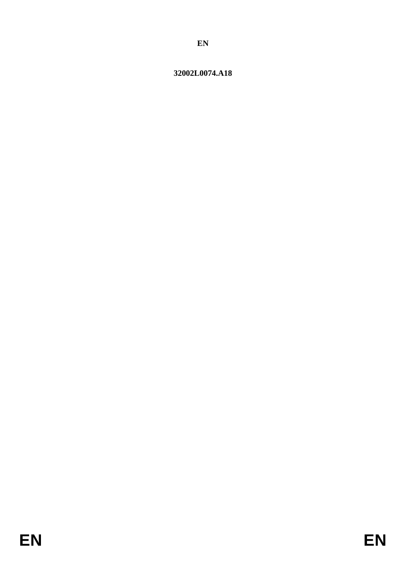# <span id="page-0-0"></span>32002L0074.A18

EN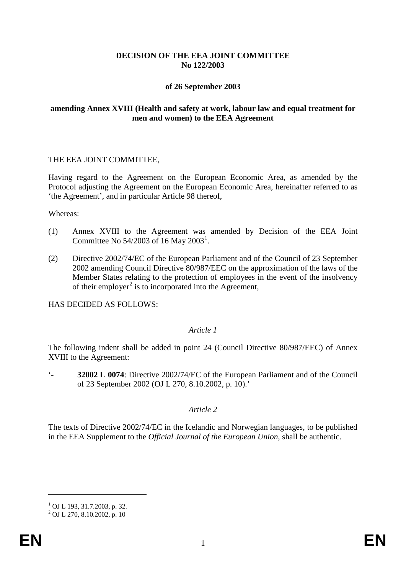# **DECISION OF THE EEA JOINT COMMITTEE No 122/2003**

# **of 26 September 2003**

# **amending Annex XVIII (Health and safety at work, labour law and equal treatment for men and women) to the EEA Agreement**

### THE EEA JOINT COMMITTEE,

Having regard to the Agreement on the European Economic Area, as amended by the Protocol adjusting the Agreement on the European Economic Area, hereinafter referred to as 'the Agreement', and in particular Article 98 thereof,

#### Whereas:

- (1) Annex XVIII to the Agreement was amended by Decision of the EEA Joint Committee No 54/2003 of [1](#page-0-0)6 May 2003<sup>1</sup>.
- (2) Directive 2002/74/EC of the European Parliament and of the Council of 23 September 2002 amending Council Directive 80/987/EEC on the approximation of the laws of the Member States relating to the protection of employees in the event of the insolvency of their employer<sup>[2](#page-1-0)</sup> is to incorporated into the Agreement,

HAS DECIDED AS FOLLOWS:

### *Article 1*

The following indent shall be added in point 24 (Council Directive 80/987/EEC) of Annex XVIII to the Agreement:

'- **32002 L 0074**: Directive 2002/74/EC of the European Parliament and of the Council of 23 September 2002 (OJ L 270, 8.10.2002, p. 10).'

### *Article 2*

The texts of Directive 2002/74/EC in the Icelandic and Norwegian languages, to be published in the EEA Supplement to the *Official Journal of the European Union*, shall be authentic.

-

 $1$  OJ L 193, 31.7.2003, p. 32.

<span id="page-1-1"></span><span id="page-1-0"></span> $^{2}$  OJ L 270, 8.10.2002, p. 10